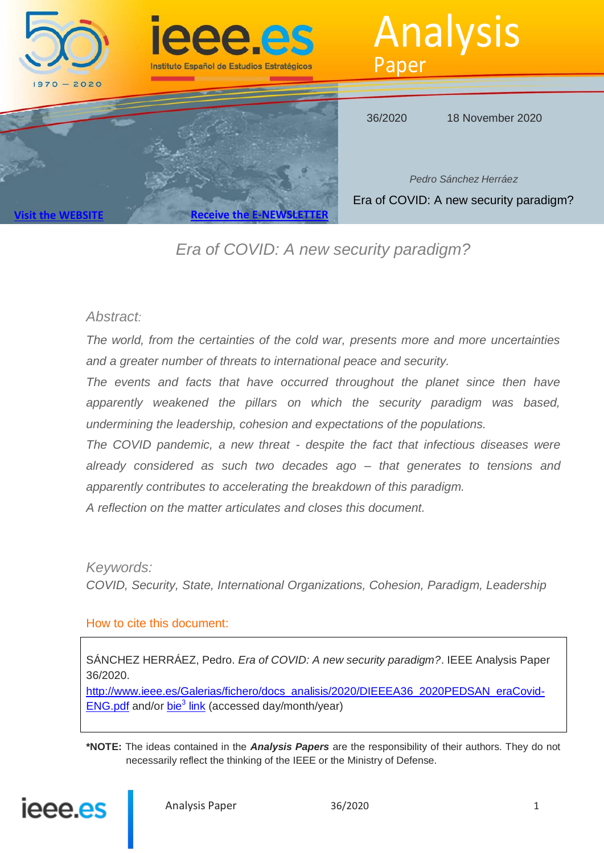

# *Era of COVID: A new security paradigm?*

## *Abstract:*

*The world, from the certainties of the cold war, presents more and more uncertainties and a greater number of threats to international peace and security.*

*The events and facts that have occurred throughout the planet since then have apparently weakened the pillars on which the security paradigm was based, undermining the leadership, cohesion and expectations of the populations.*

*The COVID pandemic, a new threat - despite the fact that infectious diseases were already considered as such two decades ago – that generates to tensions and apparently contributes to accelerating the breakdown of this paradigm.*

*A reflection on the matter articulates and closes this document.*

*Keywords:*

*COVID, Security, State, International Organizations, Cohesion, Paradigm, Leadership*

#### How to cite this document:

SÁNCHEZ HERRÁEZ, Pedro. *Era of COVID: A new security paradigm?*. IEEE Analysis Paper 36/2020.

http://www.ieee.es/Galerias/fichero/docs\_analisis/2020/DIEEEA36\_2020PEDSAN\_eraCovid-ENG.pdf and/or bie<sup>3</sup> link (accessed day/month/year)

**\*NOTE:** The ideas contained in the *Analysis Papers* are the responsibility of their authors. They do not necessarily reflect the thinking of the IEEE or the Ministry of Defense.

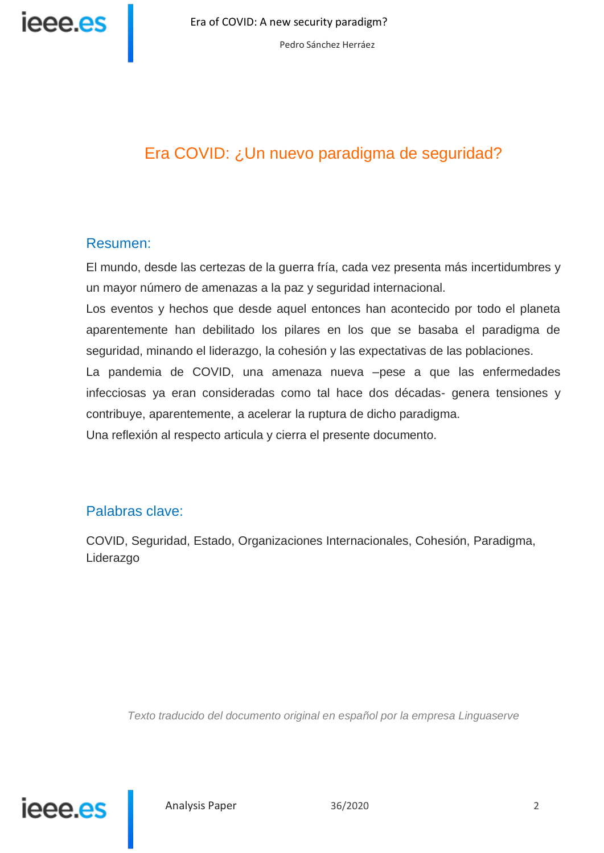

# Era COVID: ¿Un nuevo paradigma de seguridad?

## Resumen:

El mundo, desde las certezas de la guerra fría, cada vez presenta más incertidumbres y un mayor número de amenazas a la paz y seguridad internacional.

Los eventos y hechos que desde aquel entonces han acontecido por todo el planeta aparentemente han debilitado los pilares en los que se basaba el paradigma de seguridad, minando el liderazgo, la cohesión y las expectativas de las poblaciones.

La pandemia de COVID, una amenaza nueva –pese a que las enfermedades infecciosas ya eran consideradas como tal hace dos décadas- genera tensiones y contribuye, aparentemente, a acelerar la ruptura de dicho paradigma.

Una reflexión al respecto articula y cierra el presente documento.

## Palabras clave:

COVID, Seguridad, Estado, Organizaciones Internacionales, Cohesión, Paradigma, Liderazgo

*Texto traducido del documento original en español por la empresa Linguaserve*

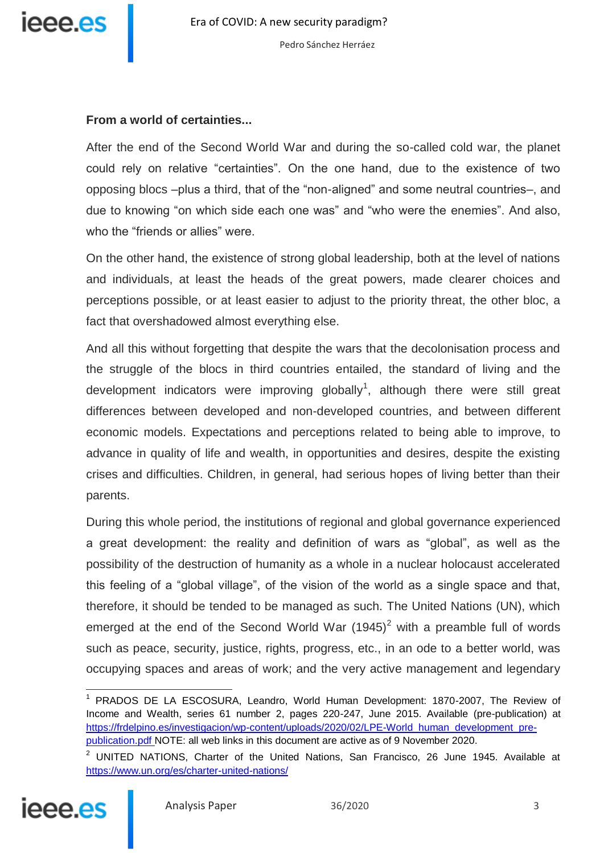

#### **From a world of certainties...**

After the end of the Second World War and during the so-called cold war, the planet could rely on relative "certainties". On the one hand, due to the existence of two opposing blocs –plus a third, that of the "non-aligned" and some neutral countries–, and due to knowing "on which side each one was" and "who were the enemies". And also, who the "friends or allies" were.

On the other hand, the existence of strong global leadership, both at the level of nations and individuals, at least the heads of the great powers, made clearer choices and perceptions possible, or at least easier to adjust to the priority threat, the other bloc, a fact that overshadowed almost everything else.

And all this without forgetting that despite the wars that the decolonisation process and the struggle of the blocs in third countries entailed, the standard of living and the development indicators were improving globally<sup>1</sup>, although there were still great differences between developed and non-developed countries, and between different economic models. Expectations and perceptions related to being able to improve, to advance in quality of life and wealth, in opportunities and desires, despite the existing crises and difficulties. Children, in general, had serious hopes of living better than their parents.

During this whole period, the institutions of regional and global governance experienced a great development: the reality and definition of wars as "global", as well as the possibility of the destruction of humanity as a whole in a nuclear holocaust accelerated this feeling of a "global village", of the vision of the world as a single space and that, therefore, it should be tended to be managed as such. The United Nations (UN), which emerged at the end of the Second World War  $(1945)^2$  with a preamble full of words such as peace, security, justice, rights, progress, etc., in an ode to a better world, was occupying spaces and areas of work; and the very active management and legendary

 $2$  UNITED NATIONS, Charter of the United Nations, San Francisco, 26 June 1945. Available at <https://www.un.org/es/charter-united-nations/>



 $\overline{a}$ 

<sup>&</sup>lt;sup>1</sup> PRADOS DE LA ESCOSURA, Leandro, World Human Development: 1870-2007, The Review of Income and Wealth, series 61 number 2, pages 220-247, June 2015. Available (pre-publication) at [https://frdelpino.es/investigacion/wp-content/uploads/2020/02/LPE-World\\_human\\_development\\_pre](https://frdelpino.es/investigacion/wp-content/uploads/2020/02/LPE-World_human_development_pre-publication.pdf)[publication.pdf N](https://frdelpino.es/investigacion/wp-content/uploads/2020/02/LPE-World_human_development_pre-publication.pdf)OTE: all web links in this document are active as of 9 November 2020.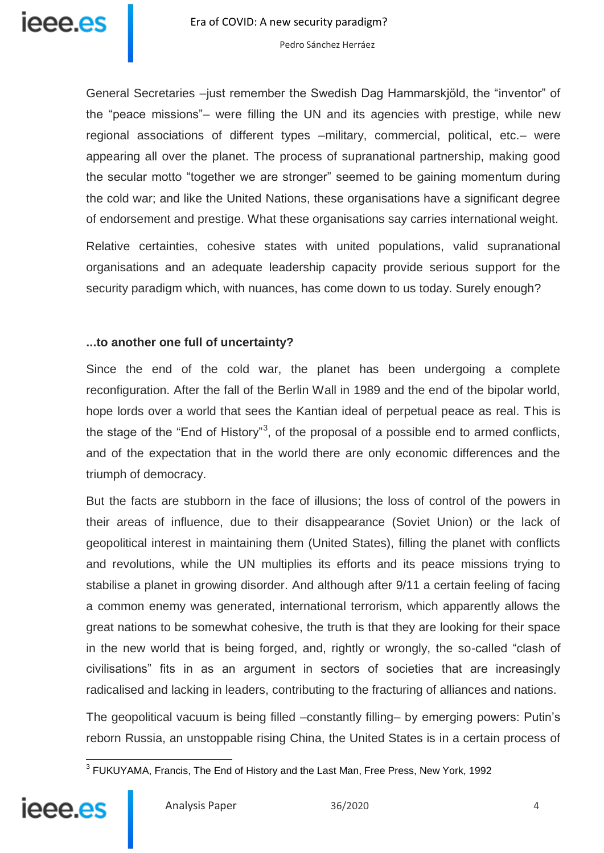General Secretaries –just remember the Swedish Dag Hammarskjöld, the "inventor" of the "peace missions"– were filling the UN and its agencies with prestige, while new regional associations of different types –military, commercial, political, etc.– were appearing all over the planet. The process of supranational partnership, making good the secular motto "together we are stronger" seemed to be gaining momentum during the cold war; and like the United Nations, these organisations have a significant degree of endorsement and prestige. What these organisations say carries international weight.

Relative certainties, cohesive states with united populations, valid supranational organisations and an adequate leadership capacity provide serious support for the security paradigm which, with nuances, has come down to us today. Surely enough?

#### **...to another one full of uncertainty?**

Since the end of the cold war, the planet has been undergoing a complete reconfiguration. After the fall of the Berlin Wall in 1989 and the end of the bipolar world, hope lords over a world that sees the Kantian ideal of perpetual peace as real. This is the stage of the "End of History"<sup>3</sup>, of the proposal of a possible end to armed conflicts, and of the expectation that in the world there are only economic differences and the triumph of democracy.

But the facts are stubborn in the face of illusions; the loss of control of the powers in their areas of influence, due to their disappearance (Soviet Union) or the lack of geopolitical interest in maintaining them (United States), filling the planet with conflicts and revolutions, while the UN multiplies its efforts and its peace missions trying to stabilise a planet in growing disorder. And although after 9/11 a certain feeling of facing a common enemy was generated, international terrorism, which apparently allows the great nations to be somewhat cohesive, the truth is that they are looking for their space in the new world that is being forged, and, rightly or wrongly, the so-called "clash of civilisations" fits in as an argument in sectors of societies that are increasingly radicalised and lacking in leaders, contributing to the fracturing of alliances and nations.

The geopolitical vacuum is being filled –constantly filling– by emerging powers: Putin's reborn Russia, an unstoppable rising China, the United States is in a certain process of

 3 FUKUYAMA, Francis, The End of History and the Last Man, Free Press, New York, 1992

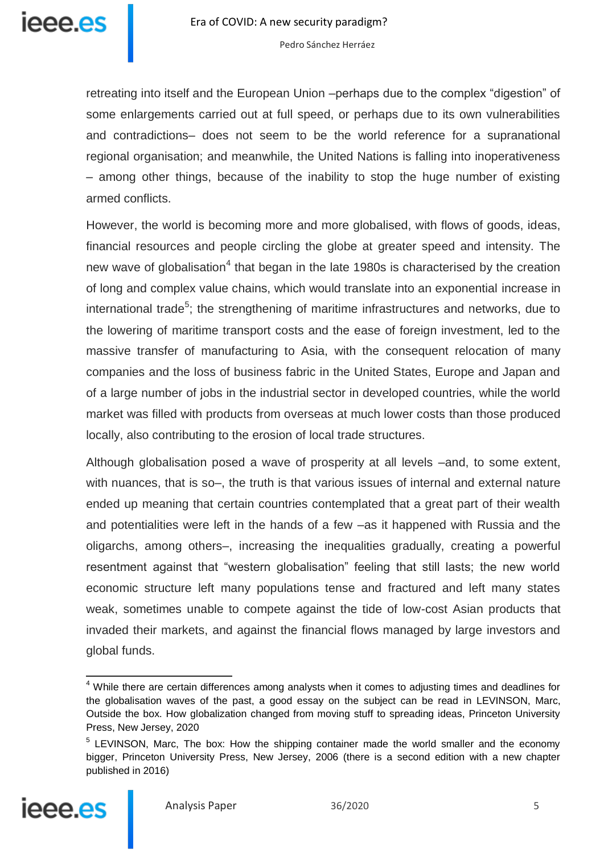

retreating into itself and the European Union –perhaps due to the complex "digestion" of some enlargements carried out at full speed, or perhaps due to its own vulnerabilities and contradictions– does not seem to be the world reference for a supranational regional organisation; and meanwhile, the United Nations is falling into inoperativeness – among other things, because of the inability to stop the huge number of existing armed conflicts.

However, the world is becoming more and more globalised, with flows of goods, ideas, financial resources and people circling the globe at greater speed and intensity. The new wave of globalisation<sup>4</sup> that began in the late 1980s is characterised by the creation of long and complex value chains, which would translate into an exponential increase in international trade<sup>5</sup>; the strengthening of maritime infrastructures and networks, due to the lowering of maritime transport costs and the ease of foreign investment, led to the massive transfer of manufacturing to Asia, with the consequent relocation of many companies and the loss of business fabric in the United States, Europe and Japan and of a large number of jobs in the industrial sector in developed countries, while the world market was filled with products from overseas at much lower costs than those produced locally, also contributing to the erosion of local trade structures.

Although globalisation posed a wave of prosperity at all levels –and, to some extent, with nuances, that is so–, the truth is that various issues of internal and external nature ended up meaning that certain countries contemplated that a great part of their wealth and potentialities were left in the hands of a few –as it happened with Russia and the oligarchs, among others–, increasing the inequalities gradually, creating a powerful resentment against that "western globalisation" feeling that still lasts; the new world economic structure left many populations tense and fractured and left many states weak, sometimes unable to compete against the tide of low-cost Asian products that invaded their markets, and against the financial flows managed by large investors and global funds.

<sup>&</sup>lt;sup>5</sup> LEVINSON, Marc, The box: How the shipping container made the world smaller and the economy bigger, Princeton University Press, New Jersey, 2006 (there is a second edition with a new chapter published in 2016)



j

<sup>&</sup>lt;sup>4</sup> While there are certain differences among analysts when it comes to adjusting times and deadlines for the globalisation waves of the past, a good essay on the subject can be read in LEVINSON, Marc, Outside the box. How globalization changed from moving stuff to spreading ideas, Princeton University Press, New Jersey, 2020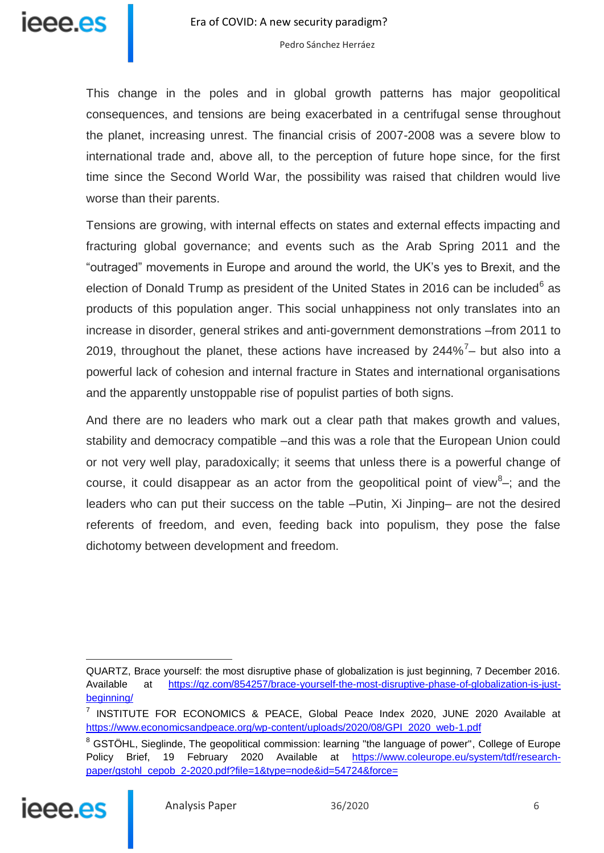

This change in the poles and in global growth patterns has major geopolitical consequences, and tensions are being exacerbated in a centrifugal sense throughout the planet, increasing unrest. The financial crisis of 2007-2008 was a severe blow to international trade and, above all, to the perception of future hope since, for the first time since the Second World War, the possibility was raised that children would live worse than their parents.

Tensions are growing, with internal effects on states and external effects impacting and fracturing global governance; and events such as the Arab Spring 2011 and the "outraged" movements in Europe and around the world, the UK's yes to Brexit, and the election of Donald Trump as president of the United States in 2016 can be included $6$  as products of this population anger. This social unhappiness not only translates into an increase in disorder, general strikes and anti-government demonstrations –from 2011 to 2019, throughout the planet, these actions have increased by 244%<sup>7</sup>- but also into a powerful lack of cohesion and internal fracture in States and international organisations and the apparently unstoppable rise of populist parties of both signs.

And there are no leaders who mark out a clear path that makes growth and values, stability and democracy compatible –and this was a role that the European Union could or not very well play, paradoxically; it seems that unless there is a powerful change of course, it could disappear as an actor from the geopolitical point of view $8-$ ; and the leaders who can put their success on the table –Putin, Xi Jinping– are not the desired referents of freedom, and even, feeding back into populism, they pose the false dichotomy between development and freedom.

<sup>&</sup>lt;sup>8</sup> GSTÖHL, Sieglinde, The geopolitical commission: learning "the language of power", College of Europe Policy Brief, 19 February 2020 Available at [https://www.coleurope.eu/system/tdf/research](https://www.coleurope.eu/system/tdf/research-paper/gstohl_cepob_2-2020.pdf?file=1&type=node&id=54724&force)[paper/gstohl\\_cepob\\_2-2020.pdf?file=1&type=node&id=54724&force=](https://www.coleurope.eu/system/tdf/research-paper/gstohl_cepob_2-2020.pdf?file=1&type=node&id=54724&force)



 $\overline{a}$ 

QUARTZ, Brace yourself: the most disruptive phase of globalization is just beginning, 7 December 2016. Available at [https://qz.com/854257/brace-yourself-the-most-disruptive-phase-of-globalization-is-just](https://qz.com/854257/brace-yourself-the-most-disruptive-phase-of-globalization-is-just-beginning/)[beginning/](https://qz.com/854257/brace-yourself-the-most-disruptive-phase-of-globalization-is-just-beginning/)

<sup>&</sup>lt;sup>7</sup> INSTITUTE FOR ECONOMICS & PEACE, Global Peace Index 2020, JUNE 2020 Available at [https://www.economicsandpeace.org/wp-content/uploads/2020/08/GPI\\_2020\\_web-1.pdf](https://www.economicsandpeace.org/wp-content/uploads/2020/08/GPI_2020_web-1.pdf)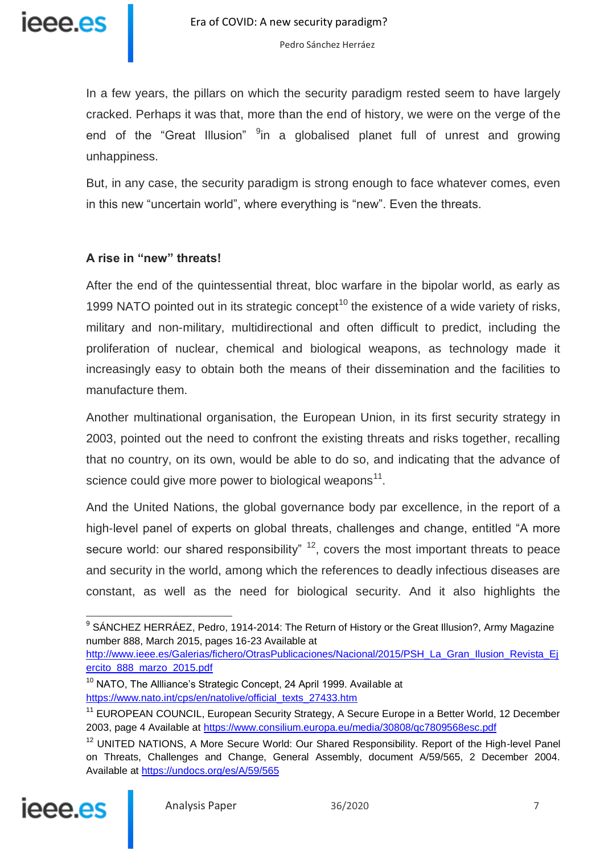

In a few years, the pillars on which the security paradigm rested seem to have largely cracked. Perhaps it was that, more than the end of history, we were on the verge of the end of the "Great Illusion" <sup>9</sup>in a globalised planet full of unrest and growing unhappiness.

But, in any case, the security paradigm is strong enough to face whatever comes, even in this new "uncertain world", where everything is "new". Even the threats.

#### **A rise in "new" threats!**

After the end of the quintessential threat, bloc warfare in the bipolar world, as early as 1999 NATO pointed out in its strategic concept<sup>10</sup> the existence of a wide variety of risks, military and non-military, multidirectional and often difficult to predict, including the proliferation of nuclear, chemical and biological weapons, as technology made it increasingly easy to obtain both the means of their dissemination and the facilities to manufacture them.

Another multinational organisation, the European Union, in its first security strategy in 2003, pointed out the need to confront the existing threats and risks together, recalling that no country, on its own, would be able to do so, and indicating that the advance of science could give more power to biological weapons<sup>11</sup>.

And the United Nations, the global governance body par excellence, in the report of a high-level panel of experts on global threats, challenges and change, entitled "A more secure world: our shared responsibility"  $12$ , covers the most important threats to peace and security in the world, among which the references to deadly infectious diseases are constant, as well as the need for biological security. And it also highlights the

http://www.ieee.es/Galerias/fichero/OtrasPublicaciones/Nacional/2015/PSH\_La\_Gran\_Ilusion\_Revista\_Ei [ercito\\_888\\_marzo\\_2015.pdf](http://www.ieee.es/Galerias/fichero/OtrasPublicaciones/Nacional/2015/PSH_La_Gran_Ilusion_Revista_Ejercito_888_marzo_2015.pdf)

<sup>10</sup> NATO, The Allliance's Strategic Concept, 24 April 1999. Available at [https://www.nato.int/cps/en/natolive/official\\_texts\\_27433.htm](https://www.nato.int/cps/en/natolive/official_texts_27433.htm)

<sup>&</sup>lt;sup>12</sup> UNITED NATIONS, A More Secure World: Our Shared Responsibility. Report of the High-level Panel on Threats, Challenges and Change, General Assembly, document A/59/565, 2 December 2004. Available at<https://undocs.org/es/A/59/565>



 $\overline{\phantom{a}}$ 

 $9$  SÁNCHEZ HERRÁEZ, Pedro, 1914-2014: The Return of History or the Great Illusion?, Army Magazine number 888, March 2015, pages 16-23 Available at

<sup>&</sup>lt;sup>11</sup> EUROPEAN COUNCIL, European Security Strategy, A Secure Europe in a Better World, 12 December 2003, page 4 Available at<https://www.consilium.europa.eu/media/30808/qc7809568esc.pdf>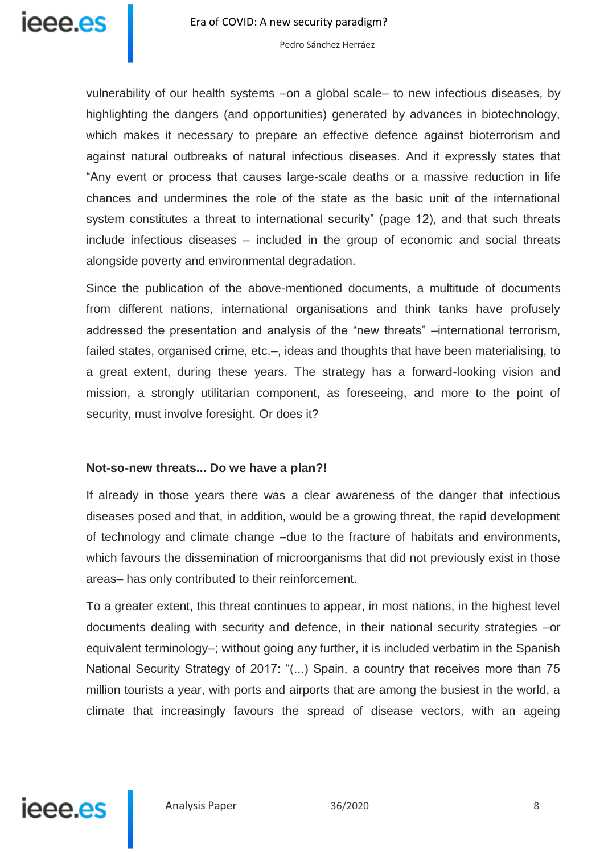

vulnerability of our health systems –on a global scale– to new infectious diseases, by highlighting the dangers (and opportunities) generated by advances in biotechnology, which makes it necessary to prepare an effective defence against bioterrorism and against natural outbreaks of natural infectious diseases. And it expressly states that "Any event or process that causes large-scale deaths or a massive reduction in life chances and undermines the role of the state as the basic unit of the international system constitutes a threat to international security" (page 12), and that such threats include infectious diseases – included in the group of economic and social threats alongside poverty and environmental degradation.

Since the publication of the above-mentioned documents, a multitude of documents from different nations, international organisations and think tanks have profusely addressed the presentation and analysis of the "new threats" –international terrorism, failed states, organised crime, etc.–, ideas and thoughts that have been materialising, to a great extent, during these years. The strategy has a forward-looking vision and mission, a strongly utilitarian component, as foreseeing, and more to the point of security, must involve foresight. Or does it?

#### **Not-so-new threats... Do we have a plan?!**

If already in those years there was a clear awareness of the danger that infectious diseases posed and that, in addition, would be a growing threat, the rapid development of technology and climate change –due to the fracture of habitats and environments, which favours the dissemination of microorganisms that did not previously exist in those areas– has only contributed to their reinforcement.

To a greater extent, this threat continues to appear, in most nations, in the highest level documents dealing with security and defence, in their national security strategies –or equivalent terminology–; without going any further, it is included verbatim in the Spanish National Security Strategy of 2017: "(...) Spain, a country that receives more than 75 million tourists a year, with ports and airports that are among the busiest in the world, a climate that increasingly favours the spread of disease vectors, with an ageing

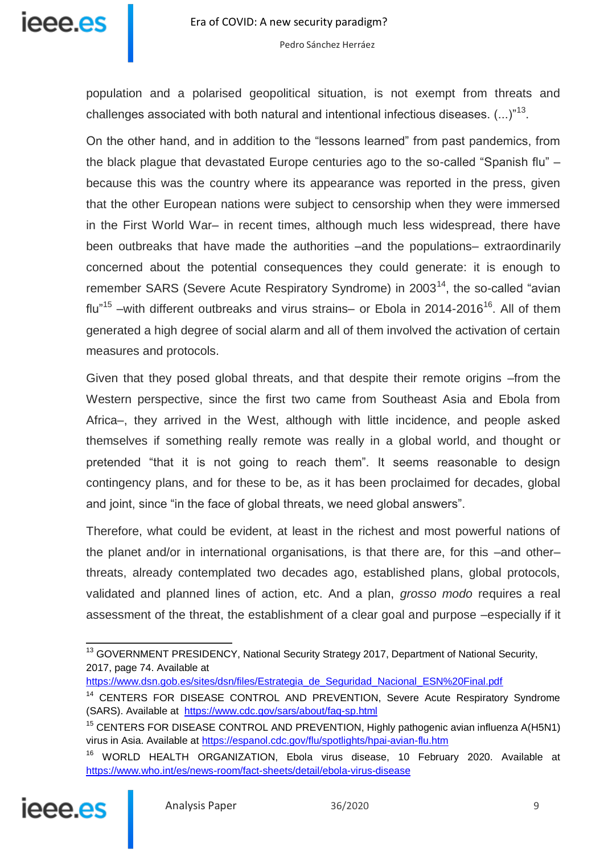

population and a polarised geopolitical situation, is not exempt from threats and challenges associated with both natural and intentional infectious diseases.  $(...)^{n13}$ .

On the other hand, and in addition to the "lessons learned" from past pandemics, from the black plague that devastated Europe centuries ago to the so-called "Spanish flu" – because this was the country where its appearance was reported in the press, given that the other European nations were subject to censorship when they were immersed in the First World War– in recent times, although much less widespread, there have been outbreaks that have made the authorities –and the populations– extraordinarily concerned about the potential consequences they could generate: it is enough to remember SARS (Severe Acute Respiratory Syndrome) in 2003<sup>14</sup>, the so-called "avian flu"<sup>15</sup> –with different outbreaks and virus strains– or Ebola in 2014-2016<sup>16</sup>. All of them generated a high degree of social alarm and all of them involved the activation of certain measures and protocols.

Given that they posed global threats, and that despite their remote origins –from the Western perspective, since the first two came from Southeast Asia and Ebola from Africa–, they arrived in the West, although with little incidence, and people asked themselves if something really remote was really in a global world, and thought or pretended "that it is not going to reach them". It seems reasonable to design contingency plans, and for these to be, as it has been proclaimed for decades, global and joint, since "in the face of global threats, we need global answers".

Therefore, what could be evident, at least in the richest and most powerful nations of the planet and/or in international organisations, is that there are, for this –and other– threats, already contemplated two decades ago, established plans, global protocols, validated and planned lines of action, etc. And a plan, *grosso modo* requires a real assessment of the threat, the establishment of a clear goal and purpose –especially if it

<sup>&</sup>lt;sup>16</sup> WORLD HEALTH ORGANIZATION, Ebola virus disease, 10 February 2020. Available at <https://www.who.int/es/news-room/fact-sheets/detail/ebola-virus-disease>



j <sup>13</sup> GOVERNMENT PRESIDENCY, National Security Strategy 2017, Department of National Security, 2017, page 74. Available at

[https://www.dsn.gob.es/sites/dsn/files/Estrategia\\_de\\_Seguridad\\_Nacional\\_ESN%20Final.pdf](https://www.dsn.gob.es/sites/dsn/files/Estrategia_de_Seguridad_Nacional_ESN%20Final.pdf)

<sup>&</sup>lt;sup>14</sup> CENTERS FOR DISEASE CONTROL AND PREVENTION, Severe Acute Respiratory Syndrome (SARS). Available at <https://www.cdc.gov/sars/about/faq-sp.html>

<sup>&</sup>lt;sup>15</sup> CENTERS FOR DISEASE CONTROL AND PREVENTION, Highly pathogenic avian influenza A(H5N1) virus in Asia. Available at<https://espanol.cdc.gov/flu/spotlights/hpai-avian-flu.htm>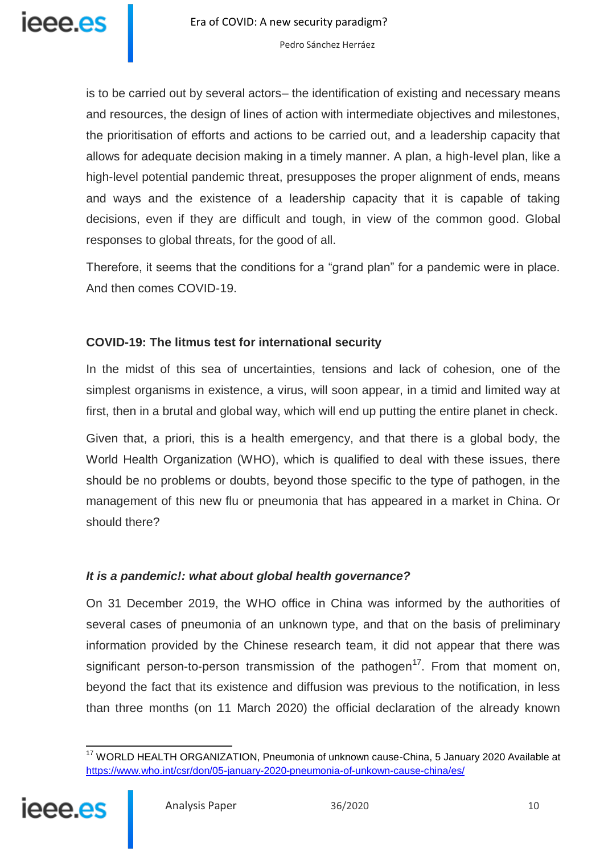is to be carried out by several actors– the identification of existing and necessary means and resources, the design of lines of action with intermediate objectives and milestones, the prioritisation of efforts and actions to be carried out, and a leadership capacity that allows for adequate decision making in a timely manner. A plan, a high-level plan, like a high-level potential pandemic threat, presupposes the proper alignment of ends, means and ways and the existence of a leadership capacity that it is capable of taking decisions, even if they are difficult and tough, in view of the common good. Global responses to global threats, for the good of all.

Therefore, it seems that the conditions for a "grand plan" for a pandemic were in place. And then comes COVID-19.

## **COVID-19: The litmus test for international security**

In the midst of this sea of uncertainties, tensions and lack of cohesion, one of the simplest organisms in existence, a virus, will soon appear, in a timid and limited way at first, then in a brutal and global way, which will end up putting the entire planet in check.

Given that, a priori, this is a health emergency, and that there is a global body, the World Health Organization (WHO), which is qualified to deal with these issues, there should be no problems or doubts, beyond those specific to the type of pathogen, in the management of this new flu or pneumonia that has appeared in a market in China. Or should there?

## *It is a pandemic!: what about global health governance?*

On 31 December 2019, the WHO office in China was informed by the authorities of several cases of pneumonia of an unknown type, and that on the basis of preliminary information provided by the Chinese research team, it did not appear that there was significant person-to-person transmission of the pathogen<sup>17</sup>. From that moment on, beyond the fact that its existence and diffusion was previous to the notification, in less than three months (on 11 March 2020) the official declaration of the already known

 $\overline{a}$ <sup>17</sup> WORLD HEALTH ORGANIZATION, Pneumonia of unknown cause-China, 5 January 2020 Available at <https://www.who.int/csr/don/05-january-2020-pneumonia-of-unkown-cause-china/es/>

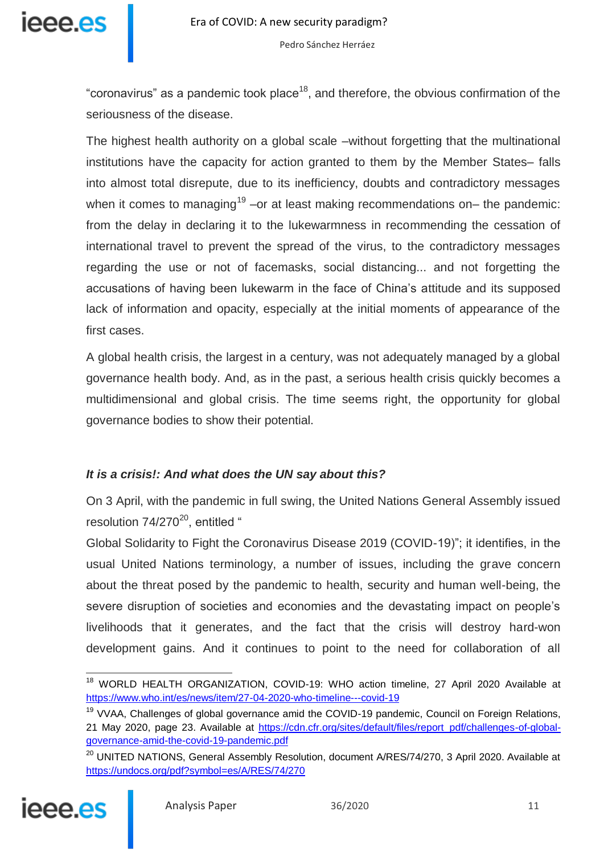

"coronavirus" as a pandemic took place<sup>18</sup>, and therefore, the obvious confirmation of the seriousness of the disease.

The highest health authority on a global scale –without forgetting that the multinational institutions have the capacity for action granted to them by the Member States– falls into almost total disrepute, due to its inefficiency, doubts and contradictory messages when it comes to managing<sup>19</sup> –or at least making recommendations on– the pandemic: from the delay in declaring it to the lukewarmness in recommending the cessation of international travel to prevent the spread of the virus, to the contradictory messages regarding the use or not of facemasks, social distancing... and not forgetting the accusations of having been lukewarm in the face of China's attitude and its supposed lack of information and opacity, especially at the initial moments of appearance of the first cases.

A global health crisis, the largest in a century, was not adequately managed by a global governance health body. And, as in the past, a serious health crisis quickly becomes a multidimensional and global crisis. The time seems right, the opportunity for global governance bodies to show their potential.

## *It is a crisis!: And what does the UN say about this?*

On 3 April, with the pandemic in full swing, the United Nations General Assembly issued resolution  $74/270^{20}$ , entitled "

Global Solidarity to Fight the Coronavirus Disease 2019 (COVID-19)"; it identifies, in the usual United Nations terminology, a number of issues, including the grave concern about the threat posed by the pandemic to health, security and human well-being, the severe disruption of societies and economies and the devastating impact on people's livelihoods that it generates, and the fact that the crisis will destroy hard-won development gains. And it continues to point to the need for collaboration of all

<sup>&</sup>lt;sup>20</sup> UNITED NATIONS, General Assembly Resolution, document A/RES/74/270, 3 April 2020. Available at <https://undocs.org/pdf?symbol=es/A/RES/74/270>



j

<sup>&</sup>lt;sup>18</sup> WORLD HEALTH ORGANIZATION, COVID-19: WHO action timeline, 27 April 2020 Available at <https://www.who.int/es/news/item/27-04-2020-who-timeline---covid-19>

<sup>&</sup>lt;sup>19</sup> VVAA, Challenges of global governance amid the COVID-19 pandemic, Council on Foreign Relations, 21 May 2020, page 23. Available at [https://cdn.cfr.org/sites/default/files/report\\_pdf/challenges-of-global](https://cdn.cfr.org/sites/default/files/report_pdf/challenges-of-global-governance-amid-the-covid-19-pandemic.pdf)[governance-amid-the-covid-19-pandemic.pdf](https://cdn.cfr.org/sites/default/files/report_pdf/challenges-of-global-governance-amid-the-covid-19-pandemic.pdf)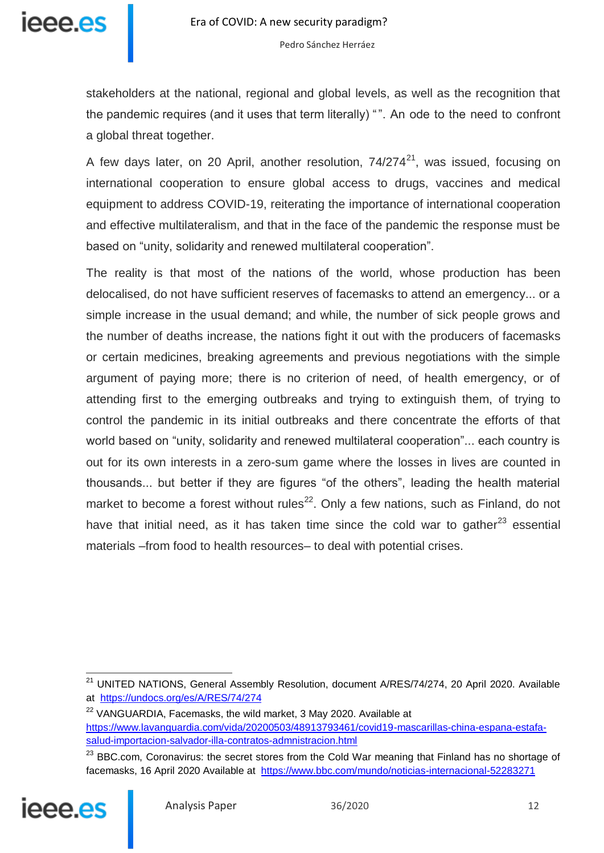

stakeholders at the national, regional and global levels, as well as the recognition that the pandemic requires (and it uses that term literally) "". An ode to the need to confront a global threat together.

A few days later, on 20 April, another resolution,  $74/274^{21}$ , was issued, focusing on international cooperation to ensure global access to drugs, vaccines and medical equipment to address COVID-19, reiterating the importance of international cooperation and effective multilateralism, and that in the face of the pandemic the response must be based on "unity, solidarity and renewed multilateral cooperation".

The reality is that most of the nations of the world, whose production has been delocalised, do not have sufficient reserves of facemasks to attend an emergency... or a simple increase in the usual demand; and while, the number of sick people grows and the number of deaths increase, the nations fight it out with the producers of facemasks or certain medicines, breaking agreements and previous negotiations with the simple argument of paying more; there is no criterion of need, of health emergency, or of attending first to the emerging outbreaks and trying to extinguish them, of trying to control the pandemic in its initial outbreaks and there concentrate the efforts of that world based on "unity, solidarity and renewed multilateral cooperation"... each country is out for its own interests in a zero-sum game where the losses in lives are counted in thousands... but better if they are figures "of the others", leading the health material market to become a forest without rules<sup>22</sup>. Only a few nations, such as Finland, do not have that initial need, as it has taken time since the cold war to gather $^{23}$  essential materials –from food to health resources– to deal with potential crises.

<sup>&</sup>lt;sup>23</sup> BBC.com, Coronavirus: the secret stores from the Cold War meaning that Finland has no shortage of facemasks, 16 April 2020 Available at <https://www.bbc.com/mundo/noticias-internacional-52283271>



j

<sup>&</sup>lt;sup>21</sup> UNITED NATIONS, General Assembly Resolution, document A/RES/74/274, 20 April 2020. Available at <https://undocs.org/es/A/RES/74/274>

<sup>&</sup>lt;sup>22</sup> VANGUARDIA, Facemasks, the wild market, 3 May 2020. Available at [https://www.lavanguardia.com/vida/20200503/48913793461/covid19-mascarillas-china-espana-estafa](https://www.lavanguardia.com/vida/20200503/48913793461/covid19-mascarillas-china-espana-estafa-salud-importacion-salvador-illa-contratos-admnistracion.html)[salud-importacion-salvador-illa-contratos-admnistracion.html](https://www.lavanguardia.com/vida/20200503/48913793461/covid19-mascarillas-china-espana-estafa-salud-importacion-salvador-illa-contratos-admnistracion.html)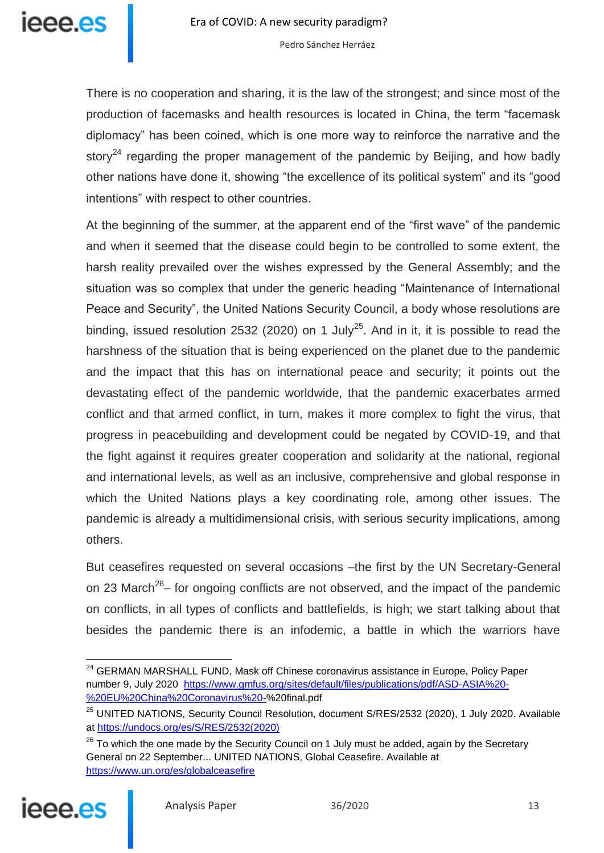

There is no cooperation and sharing, it is the law of the strongest; and since most of the production of facemasks and health resources is located in China, the term "facemask diplomacy" has been coined, which is one more way to reinforce the narrative and the story<sup>24</sup> regarding the proper management of the pandemic by Beijing, and how badly other nations have done it, showing "the excellence of its political system" and its "good intentions" with respect to other countries.

At the beginning of the summer, at the apparent end of the "first wave" of the pandemic and when it seemed that the disease could begin to be controlled to some extent, the harsh reality prevailed over the wishes expressed by the General Assembly; and the situation was so complex that under the generic heading "Maintenance of International Peace and Security", the United Nations Security Council, a body whose resolutions are binding, issued resolution 2532 (2020) on 1 July<sup>25</sup>. And in it, it is possible to read the harshness of the situation that is being experienced on the planet due to the pandemic and the impact that this has on international peace and security; it points out the devastating effect of the pandemic worldwide, that the pandemic exacerbates armed conflict and that armed conflict, in turn, makes it more complex to fight the virus, that progress in peacebuilding and development could be negated by COVID-19, and that the fight against it requires greater cooperation and solidarity at the national, regional and international levels, as well as an inclusive, comprehensive and global response in which the United Nations plays a key coordinating role, among other issues. The pandemic is already a multidimensional crisis, with serious security implications, among others.

But ceasefires requested on several occasions –the first by the UN Secretary-General on 23 March<sup>26</sup>– for ongoing conflicts are not observed, and the impact of the pandemic on conflicts, in all types of conflicts and battlefields, is high; we start talking about that besides the pandemic there is an infodemic, a battle in which the warriors have

 $26$  To which the one made by the Security Council on 1 July must be added, again by the Secretary General on 22 September... UNITED NATIONS, Global Ceasefire. Available at <https://www.un.org/es/globalceasefire>



 $\overline{a}$ <sup>24</sup> GERMAN MARSHALL FUND, Mask off Chinese coronavirus assistance in Europe, Policy Paper number 9, July 2020 [https://www.gmfus.org/sites/default/files/publications/pdf/ASD-ASIA%20-](https://www.gmfus.org/sites/default/files/publications/pdf/ASD-ASIA%20-%20EU%20China%20Coronavirus%20-%20final.pdf) [%20EU%20China%20Coronavirus%20-%](https://www.gmfus.org/sites/default/files/publications/pdf/ASD-ASIA%20-%20EU%20China%20Coronavirus%20-%20final.pdf)20final.pdf

<sup>&</sup>lt;sup>25</sup> UNITED NATIONS, Security Council Resolution, document S/RES/2532 (2020), 1 July 2020. Available at [https://undocs.org/es/S/RES/2532\(2020\)](https://undocs.org/es/S/RES/2532(2020))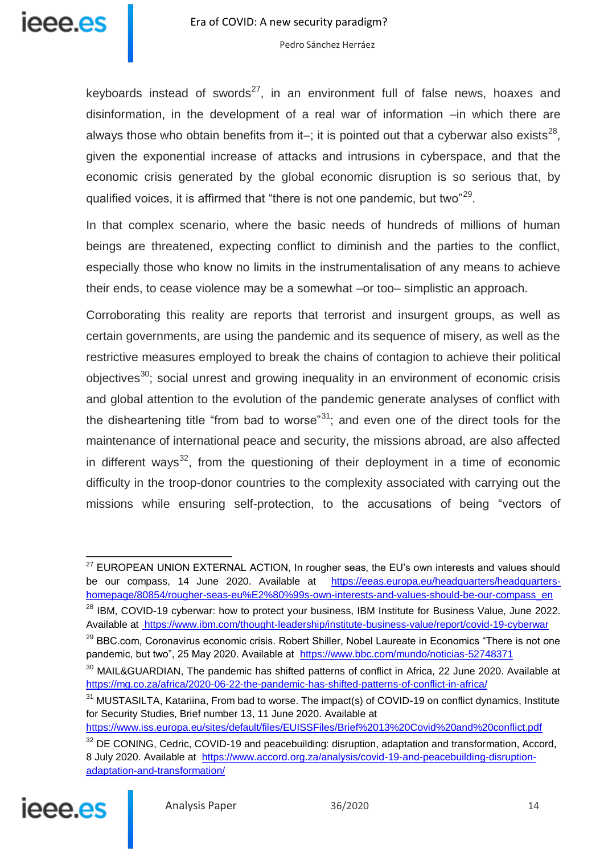

keyboards instead of swords<sup>27</sup>, in an environment full of false news, hoaxes and disinformation, in the development of a real war of information –in which there are always those who obtain benefits from it-; it is pointed out that a cyberwar also exists<sup>28</sup>, given the exponential increase of attacks and intrusions in cyberspace, and that the economic crisis generated by the global economic disruption is so serious that, by qualified voices, it is affirmed that "there is not one pandemic, but two"<sup>29</sup>.

In that complex scenario, where the basic needs of hundreds of millions of human beings are threatened, expecting conflict to diminish and the parties to the conflict, especially those who know no limits in the instrumentalisation of any means to achieve their ends, to cease violence may be a somewhat –or too– simplistic an approach.

Corroborating this reality are reports that terrorist and insurgent groups, as well as certain governments, are using the pandemic and its sequence of misery, as well as the restrictive measures employed to break the chains of contagion to achieve their political objectives<sup>30</sup>; social unrest and growing inequality in an environment of economic crisis and global attention to the evolution of the pandemic generate analyses of conflict with the disheartening title "from bad to worse"<sup>31</sup>; and even one of the direct tools for the maintenance of international peace and security, the missions abroad, are also affected in different ways<sup>32</sup>, from the questioning of their deployment in a time of economic difficulty in the troop-donor countries to the complexity associated with carrying out the missions while ensuring self-protection, to the accusations of being "vectors of

<sup>28</sup> IBM, COVID-19 cyberwar: how to protect your business, IBM Institute for Business Value, June 2022. Available at<https://www.ibm.com/thought-leadership/institute-business-value/report/covid-19-cyberwar> <sup>29</sup> BBC.com, Coronavirus economic crisis. Robert Shiller, Nobel Laureate in Economics "There is not one

<sup>&</sup>lt;sup>32</sup> DE CONING, Cedric, COVID-19 and peacebuilding: disruption, adaptation and transformation, Accord, 8 July 2020. Available at [https://www.accord.org.za/analysis/covid-19-and-peacebuilding-disruption](https://www.accord.org.za/analysis/covid-19-and-peacebuilding-disruption-adaptation-and-transformation/)[adaptation-and-transformation/](https://www.accord.org.za/analysis/covid-19-and-peacebuilding-disruption-adaptation-and-transformation/)



 $\overline{\phantom{a}}$ 

 $27$  EUROPEAN UNION EXTERNAL ACTION, In rougher seas, the EU's own interests and values should be our compass, 14 June 2020. Available at [https://eeas.europa.eu/headquarters/headquarters](https://eeas.europa.eu/headquarters/headquarters-homepage/80854/rougher-seas-eu%E2%80%99s-own-interests-and-values-should-be-our-compass_en)[homepage/80854/rougher-seas-eu%E2%80%99s-own-interests-and-values-should-be-our-compass\\_en](https://eeas.europa.eu/headquarters/headquarters-homepage/80854/rougher-seas-eu%E2%80%99s-own-interests-and-values-should-be-our-compass_en)

pandemic, but two", 25 May 2020. Available at <https://www.bbc.com/mundo/noticias-52748371>

<sup>&</sup>lt;sup>30</sup> MAIL&GUARDIAN, The pandemic has shifted patterns of conflict in Africa, 22 June 2020. Available at <https://mg.co.za/africa/2020-06-22-the-pandemic-has-shifted-patterns-of-conflict-in-africa/>

<sup>&</sup>lt;sup>31</sup> MUSTASILTA, Katariina, From bad to worse. The impact(s) of COVID-19 on conflict dynamics, Institute for Security Studies, Brief number 13, 11 June 2020. Available at

<https://www.iss.europa.eu/sites/default/files/EUISSFiles/Brief%2013%20Covid%20and%20conflict.pdf>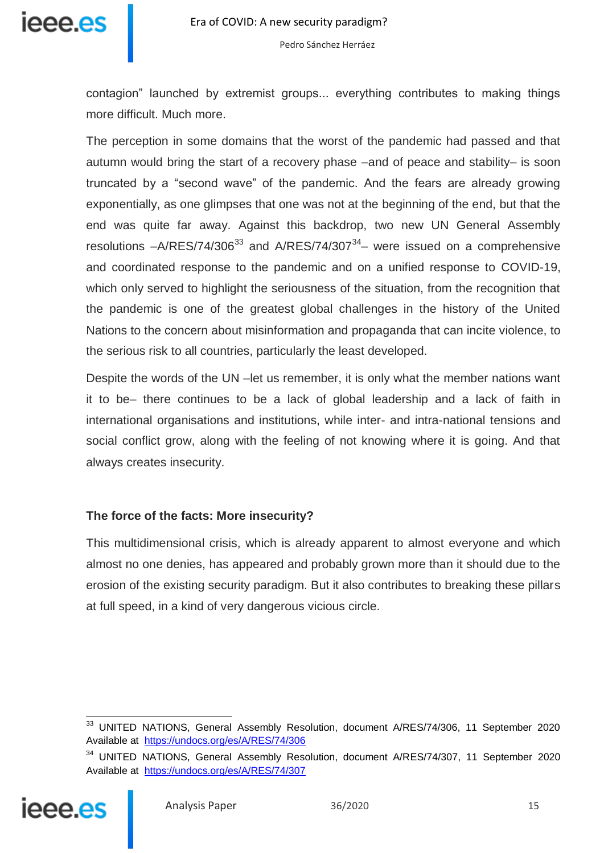

contagion" launched by extremist groups... everything contributes to making things more difficult. Much more.

The perception in some domains that the worst of the pandemic had passed and that autumn would bring the start of a recovery phase –and of peace and stability– is soon truncated by a "second wave" of the pandemic. And the fears are already growing exponentially, as one glimpses that one was not at the beginning of the end, but that the end was quite far away. Against this backdrop, two new UN General Assembly resolutions  $-A/RES/74/306^{33}$  and  $A/RES/74/307^{34}$  were issued on a comprehensive and coordinated response to the pandemic and on a unified response to COVID-19, which only served to highlight the seriousness of the situation, from the recognition that the pandemic is one of the greatest global challenges in the history of the United Nations to the concern about misinformation and propaganda that can incite violence, to the serious risk to all countries, particularly the least developed.

Despite the words of the UN –let us remember, it is only what the member nations want it to be– there continues to be a lack of global leadership and a lack of faith in international organisations and institutions, while inter- and intra-national tensions and social conflict grow, along with the feeling of not knowing where it is going. And that always creates insecurity.

## **The force of the facts: More insecurity?**

This multidimensional crisis, which is already apparent to almost everyone and which almost no one denies, has appeared and probably grown more than it should due to the erosion of the existing security paradigm. But it also contributes to breaking these pillars at full speed, in a kind of very dangerous vicious circle.

<sup>&</sup>lt;sup>34</sup> UNITED NATIONS, General Assembly Resolution, document A/RES/74/307, 11 September 2020 Available at <https://undocs.org/es/A/RES/74/307>



 $\overline{\phantom{a}}$ <sup>33</sup> UNITED NATIONS, General Assembly Resolution, document A/RES/74/306, 11 September 2020 Available at <https://undocs.org/es/A/RES/74/306>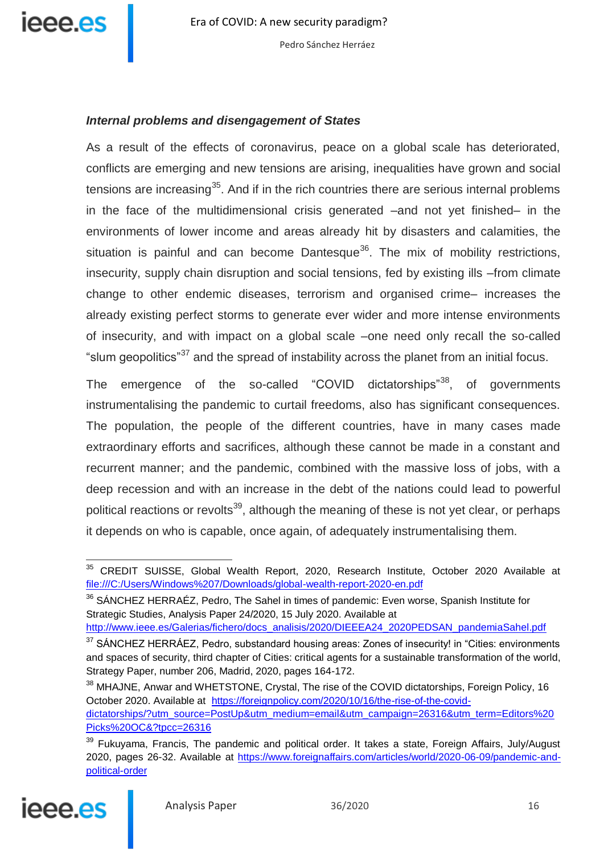

## *Internal problems and disengagement of States*

As a result of the effects of coronavirus, peace on a global scale has deteriorated, conflicts are emerging and new tensions are arising, inequalities have grown and social tensions are increasing<sup>35</sup>. And if in the rich countries there are serious internal problems in the face of the multidimensional crisis generated –and not yet finished– in the environments of lower income and areas already hit by disasters and calamities, the situation is painful and can become Dantesque $36$ . The mix of mobility restrictions, insecurity, supply chain disruption and social tensions, fed by existing ills –from climate change to other endemic diseases, terrorism and organised crime– increases the already existing perfect storms to generate ever wider and more intense environments of insecurity, and with impact on a global scale –one need only recall the so-called "slum geopolitics"<sup>37</sup> and the spread of instability across the planet from an initial focus.

The emergence of the so-called "COVID dictatorships"<sup>38</sup>, of governments instrumentalising the pandemic to curtail freedoms, also has significant consequences. The population, the people of the different countries, have in many cases made extraordinary efforts and sacrifices, although these cannot be made in a constant and recurrent manner; and the pandemic, combined with the massive loss of jobs, with a deep recession and with an increase in the debt of the nations could lead to powerful political reactions or revolts<sup>39</sup>, although the meaning of these is not yet clear, or perhaps it depends on who is capable, once again, of adequately instrumentalising them.

<sup>36</sup> SÁNCHEZ HERRAÉZ, Pedro, The Sahel in times of pandemic: Even worse, Spanish Institute for Strategic Studies, Analysis Paper 24/2020, 15 July 2020. Available at

[http://www.ieee.es/Galerias/fichero/docs\\_analisis/2020/DIEEEA24\\_2020PEDSAN\\_pandemiaSahel.pdf](http://www.ieee.es/Galerias/fichero/docs_analisis/2020/DIEEEA24_2020PEDSAN_pandemiaSahel.pdf)

<sup>&</sup>lt;sup>39</sup> Fukuyama, Francis, The pandemic and political order. It takes a state, Foreign Affairs, July/August 2020, pages 26-32. Available at [https://www.foreignaffairs.com/articles/world/2020-06-09/pandemic-and](https://www.foreignaffairs.com/articles/world/2020-06-09/pandemic-and-political-order)[political-order](https://www.foreignaffairs.com/articles/world/2020-06-09/pandemic-and-political-order)



 $\overline{\phantom{a}}$ <sup>35</sup> CREDIT SUISSE, Global Wealth Report, 2020, Research Institute, October 2020 Available at [file:///C:/Users/Windows%207/Downloads/global-wealth-report-2020-en.pdf](file://///lsmadplunet/Windows%207/Downloads/global-wealth-report-2020-en.pdf)

<sup>&</sup>lt;sup>37</sup> SÁNCHEZ HERRÁEZ, Pedro, substandard housing areas: Zones of insecurity! in "Cities: environments and spaces of security, third chapter of Cities: critical agents for a sustainable transformation of the world, Strategy Paper, number 206, Madrid, 2020, pages 164-172.

<sup>&</sup>lt;sup>38</sup> MHAJNE, Anwar and WHETSTONE, Crystal, The rise of the COVID dictatorships, Foreign Policy, 16 October 2020. Available at [https://foreignpolicy.com/2020/10/16/the-rise-of-the-covid](https://foreignpolicy.com/2020/10/16/the-rise-of-the-covid-dictatorships/?utm_source=PostUp&utm_medium=email&utm_campaign=26316&utm_term=Editors%20Picks%20OC&?tpcc=26316)[dictatorships/?utm\\_source=PostUp&utm\\_medium=email&utm\\_campaign=26316&utm\\_term=Editors%20](https://foreignpolicy.com/2020/10/16/the-rise-of-the-covid-dictatorships/?utm_source=PostUp&utm_medium=email&utm_campaign=26316&utm_term=Editors%20Picks%20OC&?tpcc=26316) [Picks%20OC&?tpcc=26316](https://foreignpolicy.com/2020/10/16/the-rise-of-the-covid-dictatorships/?utm_source=PostUp&utm_medium=email&utm_campaign=26316&utm_term=Editors%20Picks%20OC&?tpcc=26316)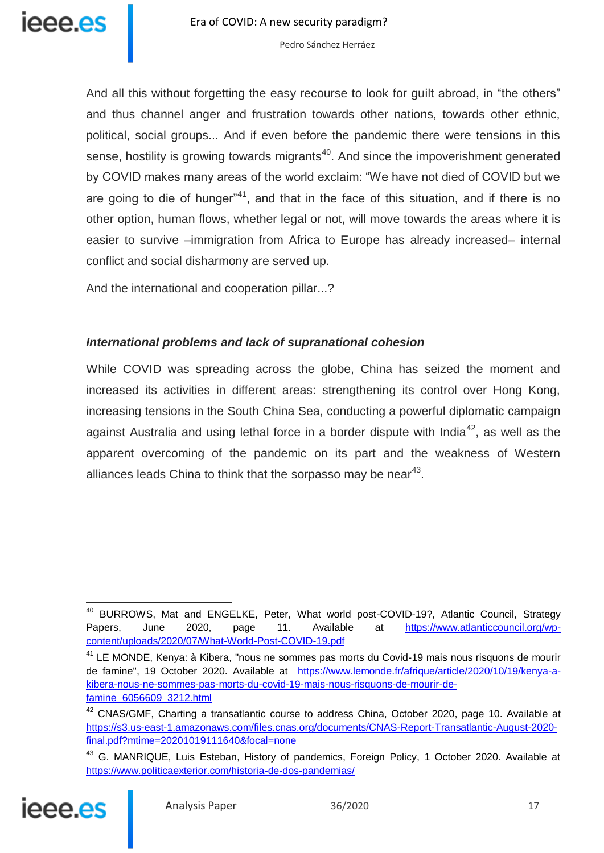And all this without forgetting the easy recourse to look for guilt abroad, in "the others" and thus channel anger and frustration towards other nations, towards other ethnic, political, social groups... And if even before the pandemic there were tensions in this sense, hostility is growing towards migrants<sup>40</sup>. And since the impoverishment generated by COVID makes many areas of the world exclaim: "We have not died of COVID but we are going to die of hunger<sup> $n+1$ </sup>, and that in the face of this situation, and if there is no other option, human flows, whether legal or not, will move towards the areas where it is easier to survive –immigration from Africa to Europe has already increased– internal conflict and social disharmony are served up.

And the international and cooperation pillar...?

## *International problems and lack of supranational cohesion*

While COVID was spreading across the globe, China has seized the moment and increased its activities in different areas: strengthening its control over Hong Kong, increasing tensions in the South China Sea, conducting a powerful diplomatic campaign against Australia and using lethal force in a border dispute with India<sup>42</sup>, as well as the apparent overcoming of the pandemic on its part and the weakness of Western alliances leads China to think that the sorpasso may be near $43$ .

<sup>&</sup>lt;sup>43</sup> G. MANRIQUE, Luis Esteban, History of pandemics, Foreign Policy, 1 October 2020. Available at <https://www.politicaexterior.com/historia-de-dos-pandemias/>



 $\overline{a}$ 

<sup>&</sup>lt;sup>40</sup> BURROWS, Mat and ENGELKE, Peter, What world post-COVID-19?, Atlantic Council, Strategy Papers, June 2020, page 11. Available at [https://www.atlanticcouncil.org/wp](https://www.atlanticcouncil.org/wp-content/uploads/2020/07/What-World-Post-COVID-19.pdf)[content/uploads/2020/07/What-World-Post-COVID-19.pdf](https://www.atlanticcouncil.org/wp-content/uploads/2020/07/What-World-Post-COVID-19.pdf)

<sup>&</sup>lt;sup>41</sup> LE MONDE, Kenya: à Kibera, "nous ne sommes pas morts du Covid-19 mais nous risquons de mourir de famine", 19 October 2020. Available at [https://www.lemonde.fr/afrique/article/2020/10/19/kenya-a](https://www.lemonde.fr/afrique/article/2020/10/19/kenya-a-kibera-nous-ne-sommes-pas-morts-du-covid-19-mais-nous-risquons-de-mourir-de-famine_6056609_3212.html)[kibera-nous-ne-sommes-pas-morts-du-covid-19-mais-nous-risquons-de-mourir-de](https://www.lemonde.fr/afrique/article/2020/10/19/kenya-a-kibera-nous-ne-sommes-pas-morts-du-covid-19-mais-nous-risquons-de-mourir-de-famine_6056609_3212.html)[famine\\_6056609\\_3212.html](https://www.lemonde.fr/afrique/article/2020/10/19/kenya-a-kibera-nous-ne-sommes-pas-morts-du-covid-19-mais-nous-risquons-de-mourir-de-famine_6056609_3212.html)

<sup>&</sup>lt;sup>42</sup> CNAS/GMF, Charting a transatlantic course to address China, October 2020, page 10. Available at [https://s3.us-east-1.amazonaws.com/files.cnas.org/documents/CNAS-Report-Transatlantic-August-2020](https://s3.us-east-1.amazonaws.com/files.cnas.org/documents/CNAS-Report-Transatlantic-August-2020-final.pdf?mtime=20201019111640&focal=none) [final.pdf?mtime=20201019111640&focal=none](https://s3.us-east-1.amazonaws.com/files.cnas.org/documents/CNAS-Report-Transatlantic-August-2020-final.pdf?mtime=20201019111640&focal=none)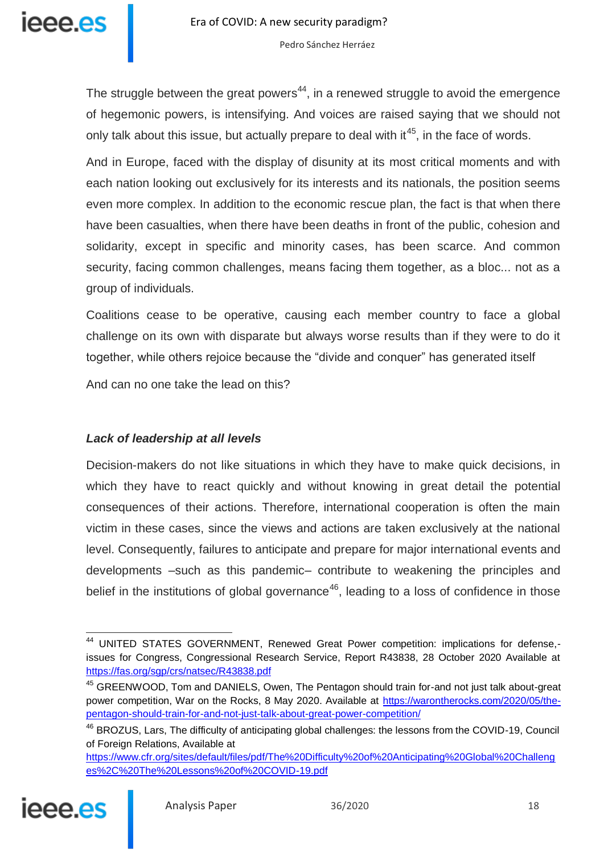The struggle between the great powers<sup>44</sup>, in a renewed struggle to avoid the emergence of hegemonic powers, is intensifying. And voices are raised saying that we should not only talk about this issue, but actually prepare to deal with it<sup>45</sup>, in the face of words.

And in Europe, faced with the display of disunity at its most critical moments and with each nation looking out exclusively for its interests and its nationals, the position seems even more complex. In addition to the economic rescue plan, the fact is that when there have been casualties, when there have been deaths in front of the public, cohesion and solidarity, except in specific and minority cases, has been scarce. And common security, facing common challenges, means facing them together, as a bloc... not as a group of individuals.

Coalitions cease to be operative, causing each member country to face a global challenge on its own with disparate but always worse results than if they were to do it together, while others rejoice because the "divide and conquer" has generated itself

And can no one take the lead on this?

## *Lack of leadership at all levels*

Decision-makers do not like situations in which they have to make quick decisions, in which they have to react quickly and without knowing in great detail the potential consequences of their actions. Therefore, international cooperation is often the main victim in these cases, since the views and actions are taken exclusively at the national level. Consequently, failures to anticipate and prepare for major international events and developments –such as this pandemic– contribute to weakening the principles and belief in the institutions of global governance<sup>46</sup>, leading to a loss of confidence in those

[https://www.cfr.org/sites/default/files/pdf/The%20Difficulty%20of%20Anticipating%20Global%20Challeng](https://www.cfr.org/sites/default/files/pdf/The%20Difficulty%20of%20Anticipating%20Global%20Challenges%2C%20The%20Lessons%20of%20COVID-19.pdf) [es%2C%20The%20Lessons%20of%20COVID-19.pdf](https://www.cfr.org/sites/default/files/pdf/The%20Difficulty%20of%20Anticipating%20Global%20Challenges%2C%20The%20Lessons%20of%20COVID-19.pdf)



 $\overline{a}$ <sup>44</sup> UNITED STATES GOVERNMENT, Renewed Great Power competition: implications for defense,issues for Congress, Congressional Research Service, Report R43838, 28 October 2020 Available at <https://fas.org/sgp/crs/natsec/R43838.pdf>

<sup>&</sup>lt;sup>45</sup> GREENWOOD, Tom and DANIELS, Owen, The Pentagon should train for-and not just talk about-great power competition, War on the Rocks, 8 May 2020. Available at [https://warontherocks.com/2020/05/the](https://warontherocks.com/2020/05/the-pentagon-should-train-for-and-not-just-talk-about-great-power-competition/)[pentagon-should-train-for-and-not-just-talk-about-great-power-competition/](https://warontherocks.com/2020/05/the-pentagon-should-train-for-and-not-just-talk-about-great-power-competition/)

<sup>&</sup>lt;sup>46</sup> BROZUS, Lars, The difficulty of anticipating global challenges: the lessons from the COVID-19, Council of Foreign Relations, Available at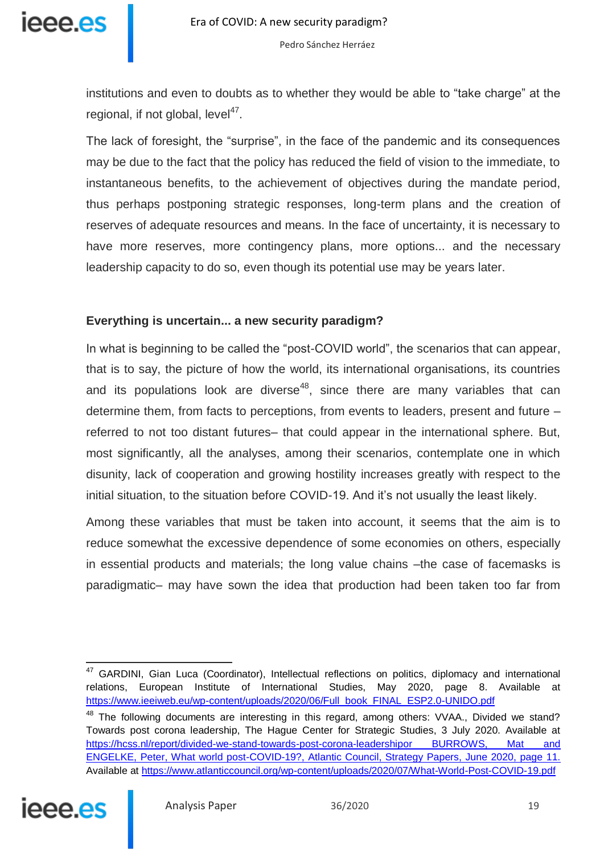institutions and even to doubts as to whether they would be able to "take charge" at the regional, if not global, level<sup>47</sup>.

The lack of foresight, the "surprise", in the face of the pandemic and its consequences may be due to the fact that the policy has reduced the field of vision to the immediate, to instantaneous benefits, to the achievement of objectives during the mandate period, thus perhaps postponing strategic responses, long-term plans and the creation of reserves of adequate resources and means. In the face of uncertainty, it is necessary to have more reserves, more contingency plans, more options... and the necessary leadership capacity to do so, even though its potential use may be years later.

#### **Everything is uncertain... a new security paradigm?**

In what is beginning to be called the "post-COVID world", the scenarios that can appear, that is to say, the picture of how the world, its international organisations, its countries and its populations look are diverse<sup>48</sup>, since there are many variables that can determine them, from facts to perceptions, from events to leaders, present and future – referred to not too distant futures– that could appear in the international sphere. But, most significantly, all the analyses, among their scenarios, contemplate one in which disunity, lack of cooperation and growing hostility increases greatly with respect to the initial situation, to the situation before COVID-19. And it's not usually the least likely.

Among these variables that must be taken into account, it seems that the aim is to reduce somewhat the excessive dependence of some economies on others, especially in essential products and materials; the long value chains –the case of facemasks is paradigmatic– may have sown the idea that production had been taken too far from

<sup>&</sup>lt;sup>48</sup> The following documents are interesting in this regard, among others: VVAA., Divided we stand? Towards post corona leadership, The Hague Center for Strategic Studies, 3 July 2020. Available at https://hcss.nl/report/divided-we-stand-towards-post-corona-leadershipor BURROWS, Mat and [ENGELKE, Peter, What world post-COVID-19?, Atlantic Council, Strategy Papers, June 2020, page 11.](https://hcss.nl/report/divided-we-stand-towards-post-corona-leadership) Available at<https://www.atlanticcouncil.org/wp-content/uploads/2020/07/What-World-Post-COVID-19.pdf>



 $\overline{a}$ <sup>47</sup> GARDINI, Gian Luca (Coordinator), Intellectual reflections on politics, diplomacy and international relations, European Institute of International Studies, May 2020, page 8. Available at [https://www.ieeiweb.eu/wp-content/uploads/2020/06/Full\\_book\\_FINAL\\_ESP2.0-UNIDO.pdf](https://www.ieeiweb.eu/wp-content/uploads/2020/06/Full_book_FINAL_ESP2.0-UNIDO.pdf)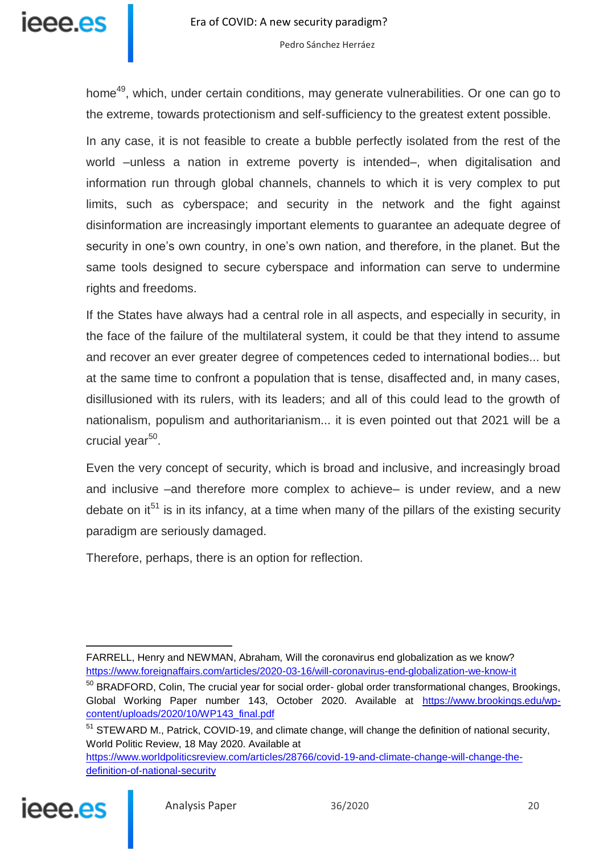

home<sup>49</sup>, which, under certain conditions, may generate vulnerabilities. Or one can go to the extreme, towards protectionism and self-sufficiency to the greatest extent possible.

In any case, it is not feasible to create a bubble perfectly isolated from the rest of the world –unless a nation in extreme poverty is intended–, when digitalisation and information run through global channels, channels to which it is very complex to put limits, such as cyberspace; and security in the network and the fight against disinformation are increasingly important elements to guarantee an adequate degree of security in one's own country, in one's own nation, and therefore, in the planet. But the same tools designed to secure cyberspace and information can serve to undermine rights and freedoms.

If the States have always had a central role in all aspects, and especially in security, in the face of the failure of the multilateral system, it could be that they intend to assume and recover an ever greater degree of competences ceded to international bodies... but at the same time to confront a population that is tense, disaffected and, in many cases, disillusioned with its rulers, with its leaders; and all of this could lead to the growth of nationalism, populism and authoritarianism... it is even pointed out that 2021 will be a crucial year<sup>50</sup>.

Even the very concept of security, which is broad and inclusive, and increasingly broad and inclusive –and therefore more complex to achieve– is under review, and a new debate on it<sup>51</sup> is in its infancy, at a time when many of the pillars of the existing security paradigm are seriously damaged.

Therefore, perhaps, there is an option for reflection.

[https://www.worldpoliticsreview.com/articles/28766/covid-19-and-climate-change-will-change-the](https://www.worldpoliticsreview.com/articles/28766/covid-19-and-climate-change-will-change-the-definition-of-national-security)[definition-of-national-security](https://www.worldpoliticsreview.com/articles/28766/covid-19-and-climate-change-will-change-the-definition-of-national-security)



j FARRELL, Henry and NEWMAN, Abraham, Will the coronavirus end globalization as we know? <https://www.foreignaffairs.com/articles/2020-03-16/will-coronavirus-end-globalization-we-know-it>

<sup>&</sup>lt;sup>50</sup> BRADFORD, Colin, The crucial year for social order- global order transformational changes, Brookings, Global Working Paper number 143, October 2020. Available at [https://www.brookings.edu/wp](https://www.brookings.edu/wp-content/uploads/2020/10/WP143_final.pdf)[content/uploads/2020/10/WP143\\_final.pdf](https://www.brookings.edu/wp-content/uploads/2020/10/WP143_final.pdf)

<sup>&</sup>lt;sup>51</sup> STEWARD M., Patrick, COVID-19, and climate change, will change the definition of national security, World Politic Review, 18 May 2020. Available at